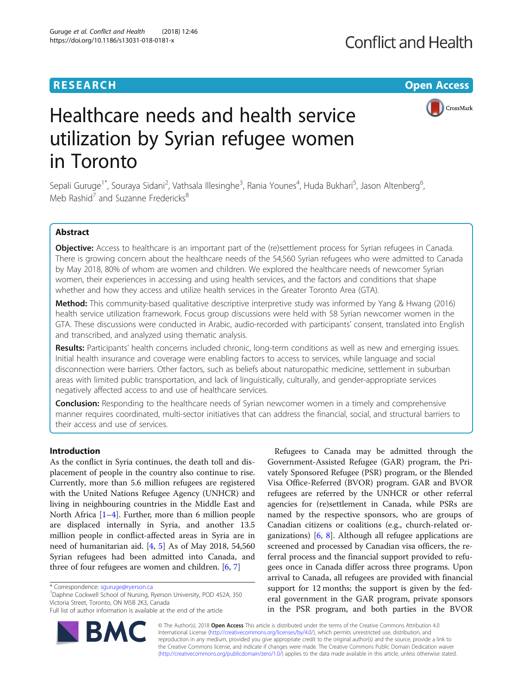# **RESEARCH CHEAR CHEAR CHEAR CHEAR CHEAR CHEAR CHEAR CHEAR CHEAR CHEAR CHEAR CHEAR CHEAR CHEAR CHEAR CHEAR CHEAR**



# Healthcare needs and health service utilization by Syrian refugee women in Toronto

Sepali Guruge<sup>1\*</sup>, Souraya Sidani<sup>2</sup>, Vathsala Illesinghe<sup>3</sup>, Rania Younes<sup>4</sup>, Huda Bukhari<sup>5</sup>, Jason Altenberg<sup>6</sup> י<br>, Meb Rashid<sup>7</sup> and Suzanne Fredericks<sup>8</sup>

## Abstract

Objective: Access to healthcare is an important part of the (re)settlement process for Syrian refugees in Canada. There is growing concern about the healthcare needs of the 54,560 Syrian refugees who were admitted to Canada by May 2018, 80% of whom are women and children. We explored the healthcare needs of newcomer Syrian women, their experiences in accessing and using health services, and the factors and conditions that shape whether and how they access and utilize health services in the Greater Toronto Area (GTA).

Method: This community-based qualitative descriptive interpretive study was informed by Yang & Hwang (2016) health service utilization framework. Focus group discussions were held with 58 Syrian newcomer women in the GTA. These discussions were conducted in Arabic, audio-recorded with participants' consent, translated into English and transcribed, and analyzed using thematic analysis.

Results: Participants' health concerns included chronic, long-term conditions as well as new and emerging issues. Initial health insurance and coverage were enabling factors to access to services, while language and social disconnection were barriers. Other factors, such as beliefs about naturopathic medicine, settlement in suburban areas with limited public transportation, and lack of linguistically, culturally, and gender-appropriate services negatively affected access to and use of healthcare services.

**Conclusion:** Responding to the healthcare needs of Syrian newcomer women in a timely and comprehensive manner requires coordinated, multi-sector initiatives that can address the financial, social, and structural barriers to their access and use of services.

## Introduction

As the conflict in Syria continues, the death toll and displacement of people in the country also continue to rise. Currently, more than 5.6 million refugees are registered with the United Nations Refugee Agency (UNHCR) and living in neighbouring countries in the Middle East and North Africa [\[1](#page-8-0)–[4](#page-8-0)]. Further, more than 6 million people are displaced internally in Syria, and another 13.5 million people in conflict-affected areas in Syria are in need of humanitarian aid. [\[4,](#page-8-0) [5](#page-8-0)] As of May 2018, 54,560 Syrian refugees had been admitted into Canada, and three of four refugees are women and children.  $[6, 7]$  $[6, 7]$  $[6, 7]$  $[6, 7]$ 

Daphne Cockwell School of Nursing, Ryerson University, POD 452A, 350 Victoria Street, Toronto, ON M5B 2K3, Canada

Full list of author information is available at the end of the article



Refugees to Canada may be admitted through the Government-Assisted Refugee (GAR) program, the Privately Sponsored Refugee (PSR) program, or the Blended Visa Office-Referred (BVOR) program. GAR and BVOR refugees are referred by the UNHCR or other referral agencies for (re)settlement in Canada, while PSRs are named by the respective sponsors, who are groups of Canadian citizens or coalitions (e.g., church-related organizations)  $[6, 8]$  $[6, 8]$  $[6, 8]$  $[6, 8]$  $[6, 8]$ . Although all refugee applications are screened and processed by Canadian visa officers, the referral process and the financial support provided to refugees once in Canada differ across three programs. Upon arrival to Canada, all refugees are provided with financial support for 12 months; the support is given by the federal government in the GAR program, private sponsors in the PSR program, and both parties in the BVOR

© The Author(s). 2018 Open Access This article is distributed under the terms of the Creative Commons Attribution 4.0 International License [\(http://creativecommons.org/licenses/by/4.0/](http://creativecommons.org/licenses/by/4.0/)), which permits unrestricted use, distribution, and reproduction in any medium, provided you give appropriate credit to the original author(s) and the source, provide a link to the Creative Commons license, and indicate if changes were made. The Creative Commons Public Domain Dedication waiver [\(http://creativecommons.org/publicdomain/zero/1.0/](http://creativecommons.org/publicdomain/zero/1.0/)) applies to the data made available in this article, unless otherwise stated.

<sup>\*</sup> Correspondence: [sguruge@ryerson.ca](mailto:sguruge@ryerson.ca) <sup>1</sup>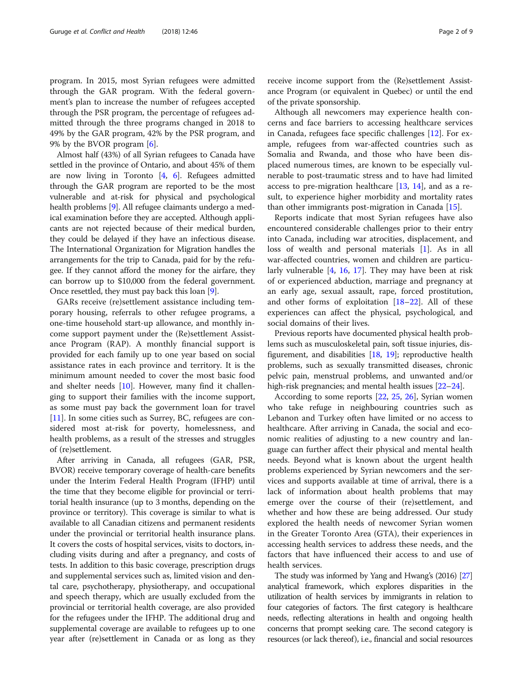program. In 2015, most Syrian refugees were admitted through the GAR program. With the federal government's plan to increase the number of refugees accepted through the PSR program, the percentage of refugees admitted through the three programs changed in 2018 to 49% by the GAR program, 42% by the PSR program, and 9% by the BVOR program [[6\]](#page-8-0).

Almost half (43%) of all Syrian refugees to Canada have settled in the province of Ontario, and about 45% of them are now living in Toronto [[4,](#page-8-0) [6\]](#page-8-0). Refugees admitted through the GAR program are reported to be the most vulnerable and at-risk for physical and psychological health problems [\[9\]](#page-8-0). All refugee claimants undergo a medical examination before they are accepted. Although applicants are not rejected because of their medical burden, they could be delayed if they have an infectious disease. The International Organization for Migration handles the arrangements for the trip to Canada, paid for by the refugee. If they cannot afford the money for the airfare, they can borrow up to \$10,000 from the federal government. Once resettled, they must pay back this loan [\[9](#page-8-0)].

GARs receive (re)settlement assistance including temporary housing, referrals to other refugee programs, a one-time household start-up allowance, and monthly income support payment under the (Re)settlement Assistance Program (RAP). A monthly financial support is provided for each family up to one year based on social assistance rates in each province and territory. It is the minimum amount needed to cover the most basic food and shelter needs [[10](#page-8-0)]. However, many find it challenging to support their families with the income support, as some must pay back the government loan for travel [[11\]](#page-8-0). In some cities such as Surrey, BC, refugees are considered most at-risk for poverty, homelessness, and health problems, as a result of the stresses and struggles of (re)settlement.

After arriving in Canada, all refugees (GAR, PSR, BVOR) receive temporary coverage of health-care benefits under the Interim Federal Health Program (IFHP) until the time that they become eligible for provincial or territorial health insurance (up to 3 months, depending on the province or territory). This coverage is similar to what is available to all Canadian citizens and permanent residents under the provincial or territorial health insurance plans. It covers the costs of hospital services, visits to doctors, including visits during and after a pregnancy, and costs of tests. In addition to this basic coverage, prescription drugs and supplemental services such as, limited vision and dental care, psychotherapy, physiotherapy, and occupational and speech therapy, which are usually excluded from the provincial or territorial health coverage, are also provided for the refugees under the IFHP. The additional drug and supplemental coverage are available to refugees up to one year after (re)settlement in Canada or as long as they receive income support from the (Re)settlement Assistance Program (or equivalent in Quebec) or until the end of the private sponsorship.

Although all newcomers may experience health concerns and face barriers to accessing healthcare services in Canada, refugees face specific challenges [\[12](#page-8-0)]. For example, refugees from war-affected countries such as Somalia and Rwanda, and those who have been displaced numerous times, are known to be especially vulnerable to post-traumatic stress and to have had limited access to pre-migration healthcare [\[13](#page-8-0), [14\]](#page-8-0), and as a result, to experience higher morbidity and mortality rates than other immigrants post-migration in Canada [\[15\]](#page-8-0).

Reports indicate that most Syrian refugees have also encountered considerable challenges prior to their entry into Canada, including war atrocities, displacement, and loss of wealth and personal materials [[1](#page-8-0)]. As in all war-affected countries, women and children are particularly vulnerable [[4](#page-8-0), [16](#page-8-0), [17](#page-8-0)]. They may have been at risk of or experienced abduction, marriage and pregnancy at an early age, sexual assault, rape, forced prostitution, and other forms of exploitation  $[18–22]$  $[18–22]$  $[18–22]$  $[18–22]$  $[18–22]$ . All of these experiences can affect the physical, psychological, and social domains of their lives.

Previous reports have documented physical health problems such as musculoskeletal pain, soft tissue injuries, disfigurement, and disabilities [\[18](#page-8-0), [19](#page-8-0)]; reproductive health problems, such as sexually transmitted diseases, chronic pelvic pain, menstrual problems, and unwanted and/or high-risk pregnancies; and mental health issues [[22](#page-8-0)–[24\]](#page-8-0).

According to some reports [[22](#page-8-0), [25,](#page-8-0) [26](#page-8-0)], Syrian women who take refuge in neighbouring countries such as Lebanon and Turkey often have limited or no access to healthcare. After arriving in Canada, the social and economic realities of adjusting to a new country and language can further affect their physical and mental health needs. Beyond what is known about the urgent health problems experienced by Syrian newcomers and the services and supports available at time of arrival, there is a lack of information about health problems that may emerge over the course of their (re)settlement, and whether and how these are being addressed. Our study explored the health needs of newcomer Syrian women in the Greater Toronto Area (GTA), their experiences in accessing health services to address these needs, and the factors that have influenced their access to and use of health services.

The study was informed by Yang and Hwang's (2016) [\[27](#page-8-0)] analytical framework, which explores disparities in the utilization of health services by immigrants in relation to four categories of factors. The first category is healthcare needs, reflecting alterations in health and ongoing health concerns that prompt seeking care. The second category is resources (or lack thereof), i.e., financial and social resources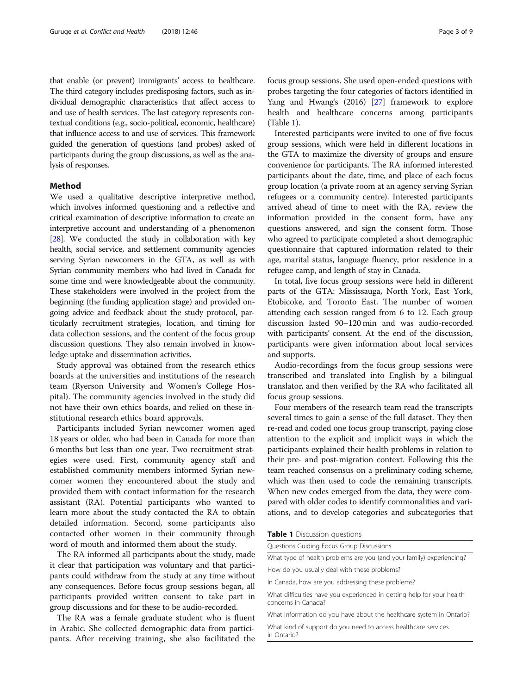that enable (or prevent) immigrants' access to healthcare. The third category includes predisposing factors, such as individual demographic characteristics that affect access to and use of health services. The last category represents contextual conditions (e.g., socio-political, economic, healthcare) that influence access to and use of services. This framework guided the generation of questions (and probes) asked of participants during the group discussions, as well as the analysis of responses.

## Method

We used a qualitative descriptive interpretive method, which involves informed questioning and a reflective and critical examination of descriptive information to create an interpretive account and understanding of a phenomenon [[28](#page-8-0)]. We conducted the study in collaboration with key health, social service, and settlement community agencies serving Syrian newcomers in the GTA, as well as with Syrian community members who had lived in Canada for some time and were knowledgeable about the community. These stakeholders were involved in the project from the beginning (the funding application stage) and provided ongoing advice and feedback about the study protocol, particularly recruitment strategies, location, and timing for data collection sessions, and the content of the focus group discussion questions. They also remain involved in knowledge uptake and dissemination activities.

Study approval was obtained from the research ethics boards at the universities and institutions of the research team (Ryerson University and Women's College Hospital). The community agencies involved in the study did not have their own ethics boards, and relied on these institutional research ethics board approvals.

Participants included Syrian newcomer women aged 18 years or older, who had been in Canada for more than 6 months but less than one year. Two recruitment strategies were used. First, community agency staff and established community members informed Syrian newcomer women they encountered about the study and provided them with contact information for the research assistant (RA). Potential participants who wanted to learn more about the study contacted the RA to obtain detailed information. Second, some participants also contacted other women in their community through word of mouth and informed them about the study.

The RA informed all participants about the study, made it clear that participation was voluntary and that participants could withdraw from the study at any time without any consequences. Before focus group sessions began, all participants provided written consent to take part in group discussions and for these to be audio-recorded.

The RA was a female graduate student who is fluent in Arabic. She collected demographic data from participants. After receiving training, she also facilitated the focus group sessions. She used open-ended questions with probes targeting the four categories of factors identified in Yang and Hwang's (2016) [\[27\]](#page-8-0) framework to explore health and healthcare concerns among participants (Table 1).

Interested participants were invited to one of five focus group sessions, which were held in different locations in the GTA to maximize the diversity of groups and ensure convenience for participants. The RA informed interested participants about the date, time, and place of each focus group location (a private room at an agency serving Syrian refugees or a community centre). Interested participants arrived ahead of time to meet with the RA, review the information provided in the consent form, have any questions answered, and sign the consent form. Those who agreed to participate completed a short demographic questionnaire that captured information related to their age, marital status, language fluency, prior residence in a refugee camp, and length of stay in Canada.

In total, five focus group sessions were held in different parts of the GTA: Mississauga, North York, East York, Etobicoke, and Toronto East. The number of women attending each session ranged from 6 to 12. Each group discussion lasted 90–120 min and was audio-recorded with participants' consent. At the end of the discussion, participants were given information about local services and supports.

Audio-recordings from the focus group sessions were transcribed and translated into English by a bilingual translator, and then verified by the RA who facilitated all focus group sessions.

Four members of the research team read the transcripts several times to gain a sense of the full dataset. They then re-read and coded one focus group transcript, paying close attention to the explicit and implicit ways in which the participants explained their health problems in relation to their pre- and post-migration context. Following this the team reached consensus on a preliminary coding scheme, which was then used to code the remaining transcripts. When new codes emerged from the data, they were compared with older codes to identify commonalities and variations, and to develop categories and subcategories that

Table 1 Discussion questions

| Questions Guiding Focus Group Discussions                                                                        |
|------------------------------------------------------------------------------------------------------------------|
| What type of health problems are you (and your family) experiencing?                                             |
| How do you usually deal with these problems?                                                                     |
| In Canada, how are you addressing these problems?                                                                |
| . A A Alexandri (20 per la tres de la conservación de la contrata de la contrata de la conservación de la calada |

What difficulties have you experienced in getting help for your health concerns in Canada?

What information do you have about the healthcare system in Ontario?

What kind of support do you need to access healthcare services in Ontario?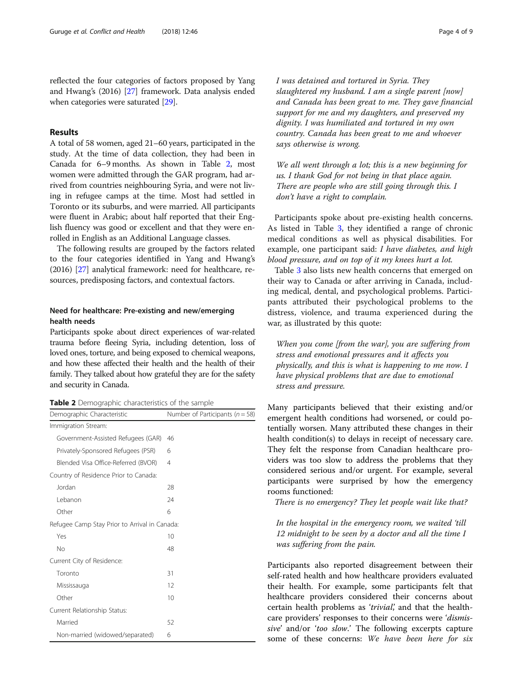reflected the four categories of factors proposed by Yang and Hwang's (2016) [\[27](#page-8-0)] framework. Data analysis ended when categories were saturated [\[29\]](#page-8-0).

## Results

A total of 58 women, aged 21–60 years, participated in the study. At the time of data collection, they had been in Canada for 6–9 months. As shown in Table 2, most women were admitted through the GAR program, had arrived from countries neighbouring Syria, and were not living in refugee camps at the time. Most had settled in Toronto or its suburbs, and were married. All participants were fluent in Arabic; about half reported that their English fluency was good or excellent and that they were enrolled in English as an Additional Language classes.

The following results are grouped by the factors related to the four categories identified in Yang and Hwang's (2016) [[27](#page-8-0)] analytical framework: need for healthcare, resources, predisposing factors, and contextual factors.

## Need for healthcare: Pre-existing and new/emerging health needs

Participants spoke about direct experiences of war-related trauma before fleeing Syria, including detention, loss of loved ones, torture, and being exposed to chemical weapons, and how these affected their health and the health of their family. They talked about how grateful they are for the safety and security in Canada.

|  | Table 2 Demographic characteristics of the sample |  |
|--|---------------------------------------------------|--|
|  |                                                   |  |

| Demographic Characteristic                    | Number of Participants ( $n = 58$ ) |
|-----------------------------------------------|-------------------------------------|
| Immigration Stream:                           |                                     |
| Government-Assisted Refugees (GAR)            | 46                                  |
| Privately-Sponsored Refugees (PSR)            | 6                                   |
| Blended Visa Office-Referred (BVOR)           | $\overline{4}$                      |
| Country of Residence Prior to Canada:         |                                     |
| Jordan                                        | 28                                  |
| Lebanon                                       | 24                                  |
| Other                                         | 6                                   |
| Refugee Camp Stay Prior to Arrival in Canada: |                                     |
| Yes                                           | 10                                  |
| No                                            | 48                                  |
| Current City of Residence:                    |                                     |
| Toronto                                       | 31                                  |
| Mississauga                                   | 12                                  |
| Other                                         | 10                                  |
| Current Relationship Status:                  |                                     |
| Married                                       | 52                                  |
| Non-married (widowed/separated)               | 6                                   |

I was detained and tortured in Syria. They slaughtered my husband. I am a single parent [now] and Canada has been great to me. They gave financial support for me and my daughters, and preserved my dignity. I was humiliated and tortured in my own country. Canada has been great to me and whoever says otherwise is wrong.

We all went through a lot; this is a new beginning for us. I thank God for not being in that place again. There are people who are still going through this. I don't have a right to complain.

Participants spoke about pre-existing health concerns. As listed in Table [3](#page-4-0), they identified a range of chronic medical conditions as well as physical disabilities. For example, one participant said: I have diabetes, and high blood pressure, and on top of it my knees hurt a lot.

Table [3](#page-4-0) also lists new health concerns that emerged on their way to Canada or after arriving in Canada, including medical, dental, and psychological problems. Participants attributed their psychological problems to the distress, violence, and trauma experienced during the war, as illustrated by this quote:

When you come [from the war], you are suffering from stress and emotional pressures and it affects you physically, and this is what is happening to me now. I have physical problems that are due to emotional stress and pressure.

Many participants believed that their existing and/or emergent health conditions had worsened, or could potentially worsen. Many attributed these changes in their health condition(s) to delays in receipt of necessary care. They felt the response from Canadian healthcare providers was too slow to address the problems that they considered serious and/or urgent. For example, several participants were surprised by how the emergency rooms functioned:

There is no emergency? They let people wait like that?

In the hospital in the emergency room, we waited 'till 12 midnight to be seen by a doctor and all the time I was suffering from the pain.

Participants also reported disagreement between their self-rated health and how healthcare providers evaluated their health. For example, some participants felt that healthcare providers considered their concerns about certain health problems as 'trivial', and that the healthcare providers' responses to their concerns were 'dismissive' and/or 'too slow.' The following excerpts capture some of these concerns: We have been here for six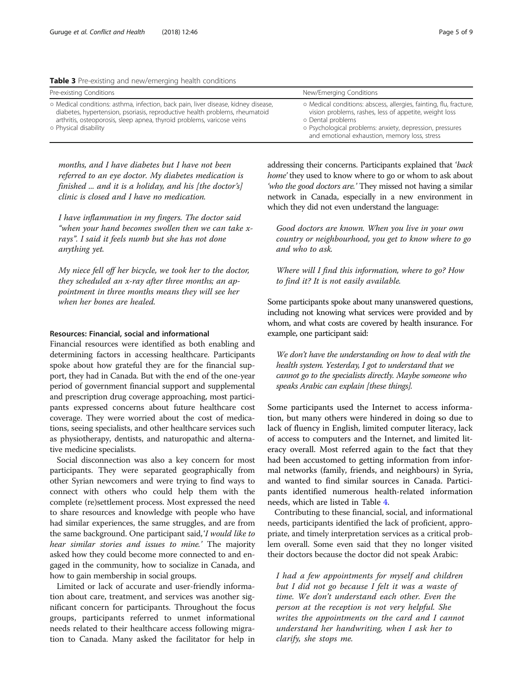<span id="page-4-0"></span>

| Table 3 Pre-existing and new/emerging health conditions |  |  |  |
|---------------------------------------------------------|--|--|--|
|                                                         |  |  |  |

| Pre-existing Conditions                                                                                                                                                                                                                                              | New/Emerging Conditions                                                                                                                                                                                                                                        |
|----------------------------------------------------------------------------------------------------------------------------------------------------------------------------------------------------------------------------------------------------------------------|----------------------------------------------------------------------------------------------------------------------------------------------------------------------------------------------------------------------------------------------------------------|
| o Medical conditions: asthma, infection, back pain, liver disease, kidney disease,<br>diabetes, hypertension, psoriasis, reproductive health problems, rheumatoid<br>arthritis, osteoporosis, sleep apnea, thyroid problems, varicose veins<br>o Physical disability | o Medical conditions: abscess, allergies, fainting, flu, fracture,<br>vision problems, rashes, less of appetite, weight loss<br>o Dental problems<br>o Psychological problems: anxiety, depression, pressures<br>and emotional exhaustion, memory loss, stress |

months, and I have diabetes but I have not been referred to an eye doctor. My diabetes medication is finished ... and it is a holiday, and his [the doctor's] clinic is closed and I have no medication.

I have inflammation in my fingers. The doctor said "when your hand becomes swollen then we can take xrays". I said it feels numb but she has not done anything yet.

My niece fell off her bicycle, we took her to the doctor, they scheduled an x-ray after three months; an appointment in three months means they will see her when her bones are healed.

## Resources: Financial, social and informational

Financial resources were identified as both enabling and determining factors in accessing healthcare. Participants spoke about how grateful they are for the financial support, they had in Canada. But with the end of the one-year period of government financial support and supplemental and prescription drug coverage approaching, most participants expressed concerns about future healthcare cost coverage. They were worried about the cost of medications, seeing specialists, and other healthcare services such as physiotherapy, dentists, and naturopathic and alternative medicine specialists.

Social disconnection was also a key concern for most participants. They were separated geographically from other Syrian newcomers and were trying to find ways to connect with others who could help them with the complete (re)settlement process. Most expressed the need to share resources and knowledge with people who have had similar experiences, the same struggles, and are from the same background. One participant said, 'I would like to hear similar stories and issues to mine.' The majority asked how they could become more connected to and engaged in the community, how to socialize in Canada, and how to gain membership in social groups.

Limited or lack of accurate and user-friendly information about care, treatment, and services was another significant concern for participants. Throughout the focus groups, participants referred to unmet informational needs related to their healthcare access following migration to Canada. Many asked the facilitator for help in addressing their concerns. Participants explained that 'back home' they used to know where to go or whom to ask about 'who the good doctors are.' They missed not having a similar network in Canada, especially in a new environment in which they did not even understand the language:

Good doctors are known. When you live in your own country or neighbourhood, you get to know where to go and who to ask.

Where will I find this information, where to go? How to find it? It is not easily available.

Some participants spoke about many unanswered questions, including not knowing what services were provided and by whom, and what costs are covered by health insurance. For example, one participant said:

We don't have the understanding on how to deal with the health system. Yesterday, I got to understand that we cannot go to the specialists directly. Maybe someone who speaks Arabic can explain [these things].

Some participants used the Internet to access information, but many others were hindered in doing so due to lack of fluency in English, limited computer literacy, lack of access to computers and the Internet, and limited literacy overall. Most referred again to the fact that they had been accustomed to getting information from informal networks (family, friends, and neighbours) in Syria, and wanted to find similar sources in Canada. Participants identified numerous health-related information needs, which are listed in Table [4.](#page-5-0)

Contributing to these financial, social, and informational needs, participants identified the lack of proficient, appropriate, and timely interpretation services as a critical problem overall. Some even said that they no longer visited their doctors because the doctor did not speak Arabic:

I had a few appointments for myself and children but I did not go because I felt it was a waste of time. We don't understand each other. Even the person at the reception is not very helpful. She writes the appointments on the card and I cannot understand her handwriting, when I ask her to clarify, she stops me.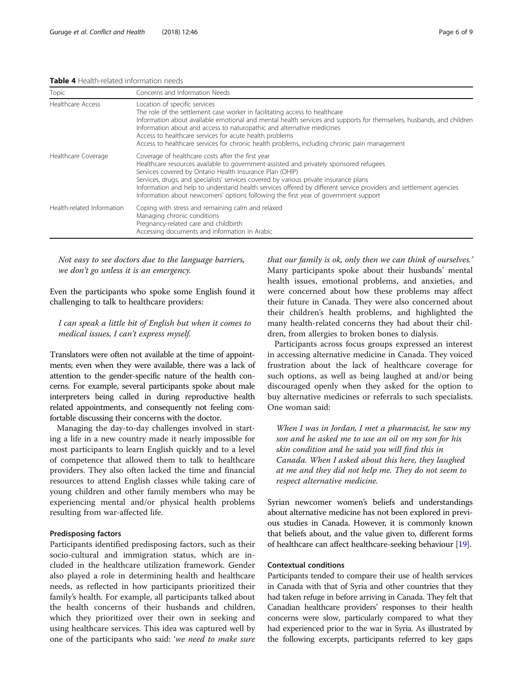## <span id="page-5-0"></span>Table 4 Health-related information needs

| Topic                      | Concerns and Information Needs                                                                                                                                                                                                                                                                                                                                                                                                                                                                               |  |  |  |
|----------------------------|--------------------------------------------------------------------------------------------------------------------------------------------------------------------------------------------------------------------------------------------------------------------------------------------------------------------------------------------------------------------------------------------------------------------------------------------------------------------------------------------------------------|--|--|--|
| Healthcare Access          | Location of specific services<br>The role of the settlement case worker in facilitating access to healthcare<br>Information about available emotional and mental health services and supports for themselves, husbands, and children<br>Information about and access to naturopathic and alternative medicines<br>Access to healthcare services for acute health problems<br>Access to healthcare services for chronic health problems, including chronic pain management                                    |  |  |  |
| Healthcare Coverage        | Coverage of healthcare costs after the first year<br>Healthcare resources available to government-assisted and privately sponsored refugees<br>Services covered by Ontario Health Insurance Plan (OHIP)<br>Services, drugs, and specialists' services covered by various private insurance plans<br>Information and help to understand health services offered by different service providers and settlement agencies<br>Information about newcomers' options following the first year of government support |  |  |  |
| Health-related Information | Coping with stress and remaining calm and relaxed<br>Managing chronic conditions<br>Pregnancy-related care and childbirth<br>Accessing documents and information in Arabic                                                                                                                                                                                                                                                                                                                                   |  |  |  |

Not easy to see doctors due to the language barriers, we don't go unless it is an emergency.

Even the participants who spoke some English found it challenging to talk to healthcare providers:

## I can speak a little bit of English but when it comes to medical issues, I can't express myself.

Translators were often not available at the time of appointments; even when they were available, there was a lack of attention to the gender-specific nature of the health concerns. For example, several participants spoke about male interpreters being called in during reproductive health related appointments, and consequently not feeling comfortable discussing their concerns with the doctor.

Managing the day-to-day challenges involved in starting a life in a new country made it nearly impossible for most participants to learn English quickly and to a level of competence that allowed them to talk to healthcare providers. They also often lacked the time and financial resources to attend English classes while taking care of young children and other family members who may be experiencing mental and/or physical health problems resulting from war-affected life.

#### Predisposing factors

Participants identified predisposing factors, such as their socio-cultural and immigration status, which are included in the healthcare utilization framework. Gender also played a role in determining health and healthcare needs, as reflected in how participants prioritized their family's health. For example, all participants talked about the health concerns of their husbands and children, which they prioritized over their own in seeking and using healthcare services. This idea was captured well by one of the participants who said: 'we need to make sure

that our family is ok, only then we can think of ourselves.' Many participants spoke about their husbands' mental health issues, emotional problems, and anxieties, and were concerned about how these problems may affect their future in Canada. They were also concerned about their children's health problems, and highlighted the many health-related concerns they had about their children, from allergies to broken bones to dialysis.

Participants across focus groups expressed an interest in accessing alternative medicine in Canada. They voiced frustration about the lack of healthcare coverage for such options, as well as being laughed at and/or being discouraged openly when they asked for the option to buy alternative medicines or referrals to such specialists. One woman said:

When I was in Jordan, I met a pharmacist, he saw my son and he asked me to use an oil on my son for his skin condition and he said you will find this in Canada. When I asked about this here, they laughed at me and they did not help me. They do not seem to respect alternative medicine.

Syrian newcomer women's beliefs and understandings about alternative medicine has not been explored in previous studies in Canada. However, it is commonly known that beliefs about, and the value given to, different forms of healthcare can affect healthcare-seeking behaviour [\[19\]](#page-8-0).

## Contextual conditions

Participants tended to compare their use of health services in Canada with that of Syria and other countries that they had taken refuge in before arriving in Canada. They felt that Canadian healthcare providers' responses to their health concerns were slow, particularly compared to what they had experienced prior to the war in Syria. As illustrated by the following excerpts, participants referred to key gaps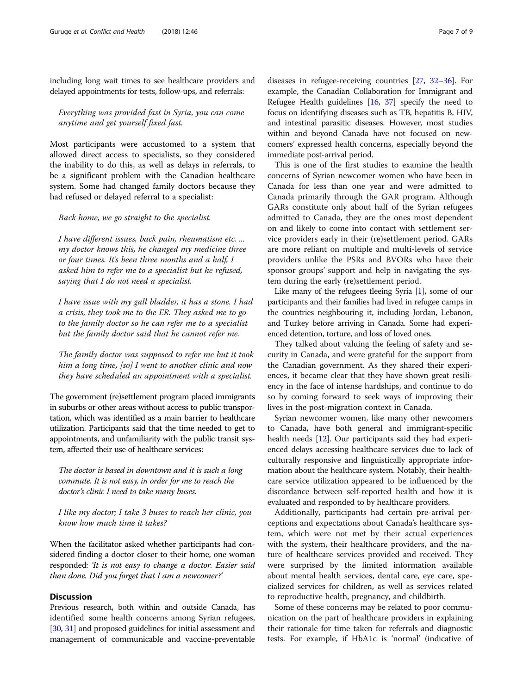including long wait times to see healthcare providers and delayed appointments for tests, follow-ups, and referrals:

Everything was provided fast in Syria, you can come anytime and get yourself fixed fast.

Most participants were accustomed to a system that allowed direct access to specialists, so they considered the inability to do this, as well as delays in referrals, to be a significant problem with the Canadian healthcare system. Some had changed family doctors because they had refused or delayed referral to a specialist:

Back home, we go straight to the specialist.

I have different issues, back pain, rheumatism etc. ... my doctor knows this, he changed my medicine three or four times. It's been three months and a half, I asked him to refer me to a specialist but he refused, saying that I do not need a specialist.

I have issue with my gall bladder, it has a stone. I had a crisis, they took me to the ER. They asked me to go to the family doctor so he can refer me to a specialist but the family doctor said that he cannot refer me.

The family doctor was supposed to refer me but it took him a long time, [so] I went to another clinic and now they have scheduled an appointment with a specialist.

The government (re)settlement program placed immigrants in suburbs or other areas without access to public transportation, which was identified as a main barrier to healthcare utilization. Participants said that the time needed to get to appointments, and unfamiliarity with the public transit system, affected their use of healthcare services:

The doctor is based in downtown and it is such a long commute. It is not easy, in order for me to reach the doctor's clinic I need to take many buses.

I like my doctor; I take 3 buses to reach her clinic, you know how much time it takes?

When the facilitator asked whether participants had considered finding a doctor closer to their home, one woman responded: 'It is not easy to change a doctor. Easier said than done. Did you forget that I am a newcomer?'

#### **Discussion**

Previous research, both within and outside Canada, has identified some health concerns among Syrian refugees, [[30](#page-8-0), [31\]](#page-8-0) and proposed guidelines for initial assessment and management of communicable and vaccine-preventable example, the Canadian Collaboration for Immigrant and Refugee Health guidelines [[16](#page-8-0), [37\]](#page-8-0) specify the need to focus on identifying diseases such as TB, hepatitis B, HIV, and intestinal parasitic diseases. However, most studies within and beyond Canada have not focused on newcomers' expressed health concerns, especially beyond the immediate post-arrival period.

This is one of the first studies to examine the health concerns of Syrian newcomer women who have been in Canada for less than one year and were admitted to Canada primarily through the GAR program. Although GARs constitute only about half of the Syrian refugees admitted to Canada, they are the ones most dependent on and likely to come into contact with settlement service providers early in their (re)settlement period. GARs are more reliant on multiple and multi-levels of service providers unlike the PSRs and BVORs who have their sponsor groups' support and help in navigating the system during the early (re)settlement period.

Like many of the refugees fleeing Syria [\[1\]](#page-8-0), some of our participants and their families had lived in refugee camps in the countries neighbouring it, including Jordan, Lebanon, and Turkey before arriving in Canada. Some had experienced detention, torture, and loss of loved ones.

They talked about valuing the feeling of safety and security in Canada, and were grateful for the support from the Canadian government. As they shared their experiences, it became clear that they have shown great resiliency in the face of intense hardships, and continue to do so by coming forward to seek ways of improving their lives in the post-migration context in Canada.

Syrian newcomer women, like many other newcomers to Canada, have both general and immigrant-specific health needs [[12](#page-8-0)]. Our participants said they had experienced delays accessing healthcare services due to lack of culturally responsive and linguistically appropriate information about the healthcare system. Notably, their healthcare service utilization appeared to be influenced by the discordance between self-reported health and how it is evaluated and responded to by healthcare providers.

Additionally, participants had certain pre-arrival perceptions and expectations about Canada's healthcare system, which were not met by their actual experiences with the system, their healthcare providers, and the nature of healthcare services provided and received. They were surprised by the limited information available about mental health services, dental care, eye care, specialized services for children, as well as services related to reproductive health, pregnancy, and childbirth.

Some of these concerns may be related to poor communication on the part of healthcare providers in explaining their rationale for time taken for referrals and diagnostic tests. For example, if HbA1c is 'normal' (indicative of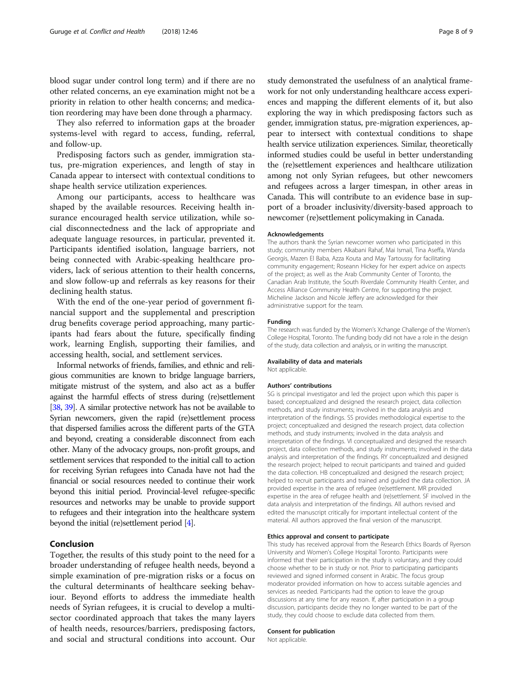blood sugar under control long term) and if there are no other related concerns, an eye examination might not be a priority in relation to other health concerns; and medication reordering may have been done through a pharmacy.

They also referred to information gaps at the broader systems-level with regard to access, funding, referral, and follow-up.

Predisposing factors such as gender, immigration status, pre-migration experiences, and length of stay in Canada appear to intersect with contextual conditions to shape health service utilization experiences.

Among our participants, access to healthcare was shaped by the available resources. Receiving health insurance encouraged health service utilization, while social disconnectedness and the lack of appropriate and adequate language resources, in particular, prevented it. Participants identified isolation, language barriers, not being connected with Arabic-speaking healthcare providers, lack of serious attention to their health concerns, and slow follow-up and referrals as key reasons for their declining health status.

With the end of the one-year period of government financial support and the supplemental and prescription drug benefits coverage period approaching, many participants had fears about the future, specifically finding work, learning English, supporting their families, and accessing health, social, and settlement services.

Informal networks of friends, families, and ethnic and religious communities are known to bridge language barriers, mitigate mistrust of the system, and also act as a buffer against the harmful effects of stress during (re)settlement [[38,](#page-8-0) [39\]](#page-8-0). A similar protective network has not be available to Syrian newcomers, given the rapid (re)settlement process that dispersed families across the different parts of the GTA and beyond, creating a considerable disconnect from each other. Many of the advocacy groups, non-profit groups, and settlement services that responded to the initial call to action for receiving Syrian refugees into Canada have not had the financial or social resources needed to continue their work beyond this initial period. Provincial-level refugee-specific resources and networks may be unable to provide support to refugees and their integration into the healthcare system beyond the initial (re)settlement period [\[4](#page-8-0)].

## Conclusion

Together, the results of this study point to the need for a broader understanding of refugee health needs, beyond a simple examination of pre-migration risks or a focus on the cultural determinants of healthcare seeking behaviour. Beyond efforts to address the immediate health needs of Syrian refugees, it is crucial to develop a multisector coordinated approach that takes the many layers of health needs, resources/barriers, predisposing factors, and social and structural conditions into account. Our study demonstrated the usefulness of an analytical framework for not only understanding healthcare access experiences and mapping the different elements of it, but also exploring the way in which predisposing factors such as gender, immigration status, pre-migration experiences, appear to intersect with contextual conditions to shape health service utilization experiences. Similar, theoretically informed studies could be useful in better understanding the (re)settlement experiences and healthcare utilization among not only Syrian refugees, but other newcomers and refugees across a larger timespan, in other areas in Canada. This will contribute to an evidence base in support of a broader inclusivity/diversity-based approach to newcomer (re)settlement policymaking in Canada.

#### Acknowledgements

The authors thank the Syrian newcomer women who participated in this study; community members Alkabani Rahaf, Mai Ismail, Tina Aseffa, Wanda Georgis, Mazen El Baba, Azza Kouta and May Tartoussy for facilitating community engagement; Roseann Hickey for her expert advice on aspects of the project; as well as the Arab Community Center of Toronto, the Canadian Arab Institute, the South Riverdale Community Health Center, and Access Alliance Community Health Centre, for supporting the project. Micheline Jackson and Nicole Jeffery are acknowledged for their administrative support for the team.

#### Funding

The research was funded by the Women's Xchange Challenge of the Women's College Hospital, Toronto. The funding body did not have a role in the design of the study, data collection and analysis, or in writing the manuscript.

# Availability of data and materials

Not applicable.

#### Authors' contributions

SG is principal investigator and led the project upon which this paper is based; conceptualized and designed the research project, data collection methods, and study instruments; involved in the data analysis and interpretation of the findings. SS provides methodological expertise to the project; conceptualized and designed the research project, data collection methods, and study instruments; involved in the data analysis and interpretation of the findings. VI conceptualized and designed the research project, data collection methods, and study instruments; involved in the data analysis and interpretation of the findings. RY conceptualized and designed the research project; helped to recruit participants and trained and guided the data collection. HB conceptualized and designed the research project; helped to recruit participants and trained and guided the data collection. JA provided expertise in the area of refugee (re)settlement. MR provided expertise in the area of refugee health and (re)settlement. SF involved in the data analysis and interpretation of the findings. All authors revised and edited the manuscript critically for important intellectual content of the material. All authors approved the final version of the manuscript.

#### Ethics approval and consent to participate

This study has received approval from the Research Ethics Boards of Ryerson University and Women's College Hospital Toronto. Participants were informed that their participation in the study is voluntary, and they could choose whether to be in study or not. Prior to participating participants reviewed and signed informed consent in Arabic. The focus group moderator provided information on how to access suitable agencies and services as needed. Participants had the option to leave the group discussions at any time for any reason. If, after participation in a group discussion, participants decide they no longer wanted to be part of the study, they could choose to exclude data collected from them.

#### Consent for publication

Not applicable.